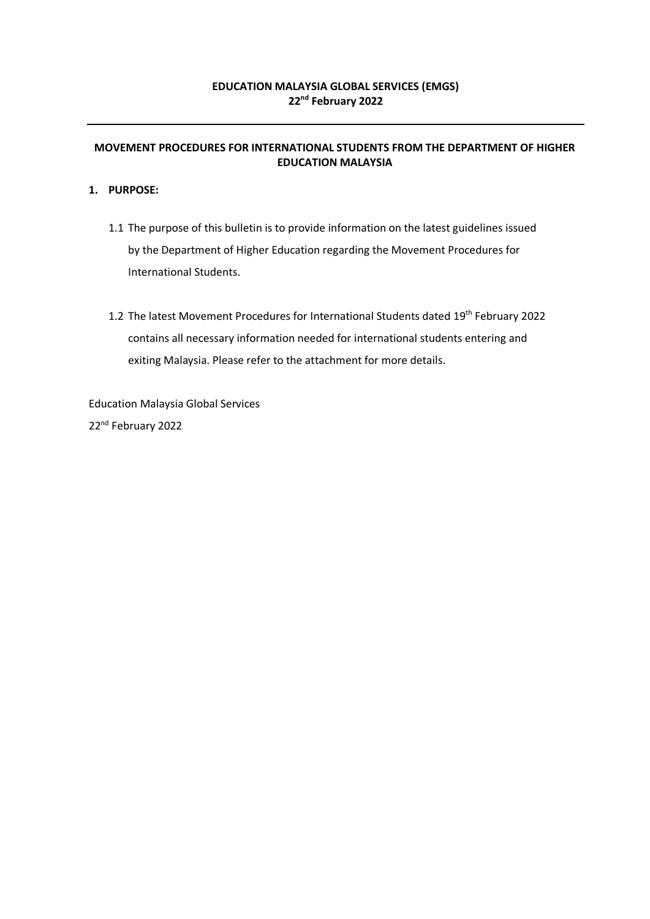#### **EDUCATION MALAYSIA GLOBAL SERVICES (EMGS) 22 nd February 2022**

#### **MOVEMENT PROCEDURES FOR INTERNATIONAL STUDENTS FROM THE DEPARTMENT OF HIGHER EDUCATION MALAYSIA**

#### **1. PURPOSE:**

- 1.1 The purpose of this bulletin is to provide information on the latest guidelines issued by the Department of Higher Education regarding the Movement Procedures for International Students.
- 1.2 The latest Movement Procedures for International Students dated 19<sup>th</sup> February 2022 contains all necessary information needed for international students entering and exiting Malaysia. Please refer to the attachment for more details.

Education Malaysia Global Services 22<sup>nd</sup> February 2022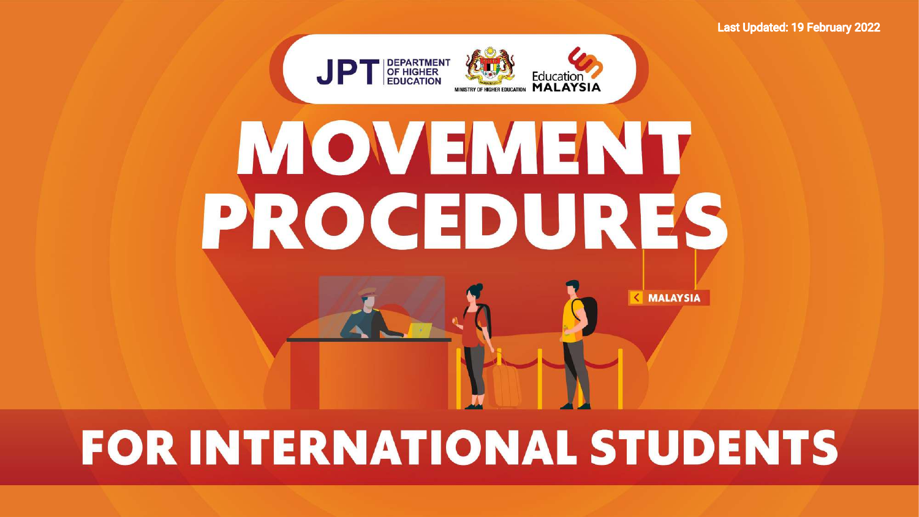

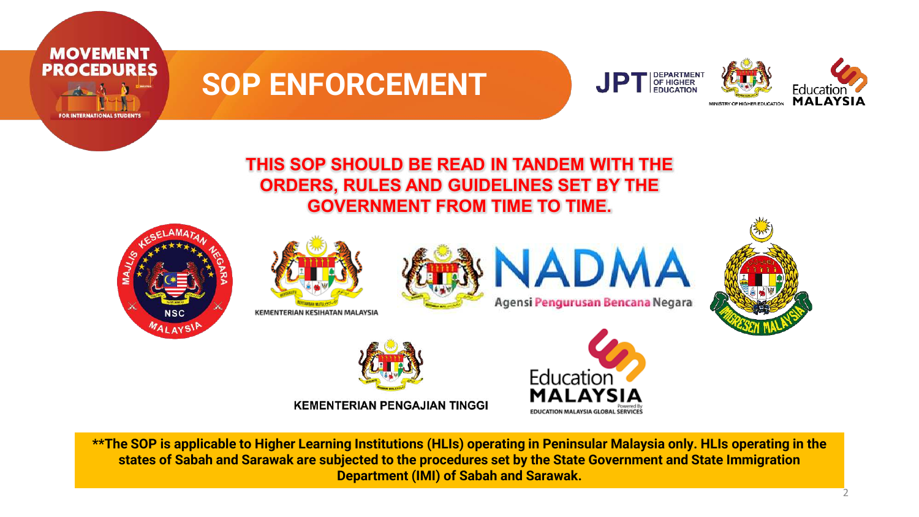

#### **THIS SOP SHOULD BE READ IN TANDEM WITH THE ORDERS, RULES AND GUIDELINES SET BY THE GOVERNMENT FROM TIME TO TIME.**















**KEMENTERIAN PENGAJIAN TINGGI** 



**\*\*The SOP is applicable to Higher Learning Institutions (HLIs) operating in Peninsular Malaysia only. HLIs operating in the states of Sabah and Sarawak are subjected to the procedures set by the State Government and State Immigration Department (IMI) of Sabah and Sarawak.**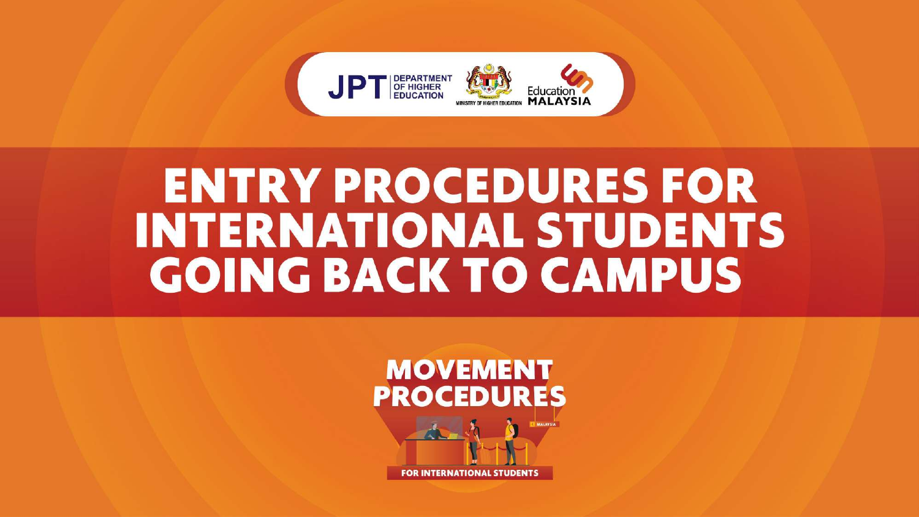

# **ENTRY PROCEDURES FOR INTERNATIONAL STUDENTS GOING BACK TO CAMPUS**

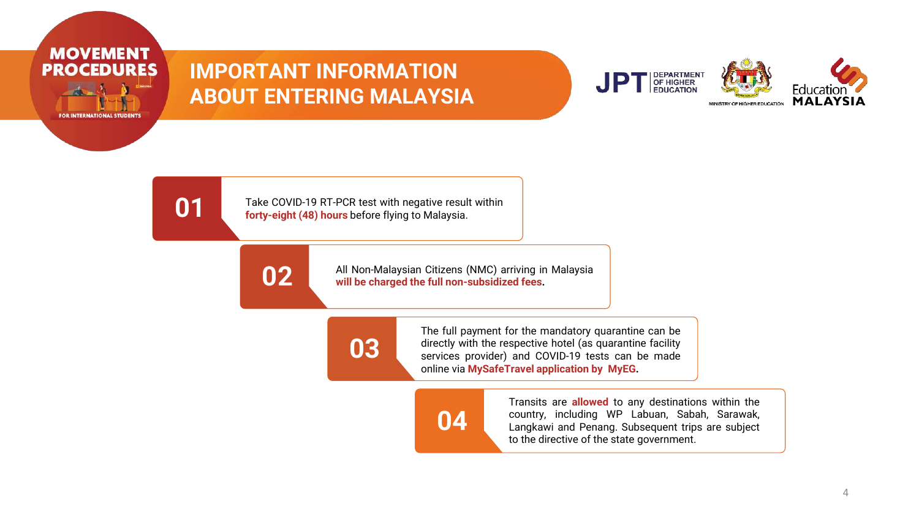

### **IMPORTANT INFORMATION ABOUT ENTERING MALAYSIA**



**01**

Take COVID-19 RT-PCR test with negative result within **forty-eight (48) hours** before flying to Malaysia.



All Non-Malaysian Citizens (NMC) arriving in Malaysia **will be charged the full non-subsidized fees.**



The full payment for the mandatory quarantine can be directly with the respective hotel (as quarantine facility services provider) and COVID-19 tests can be made online via **MySafeTravel application by MyEG.**



Transits are **allowed** to any destinations within the country, including WP Labuan, Sabah, Sarawak, Langkawi and Penang. Subsequent trips are subject to the directive of the state government.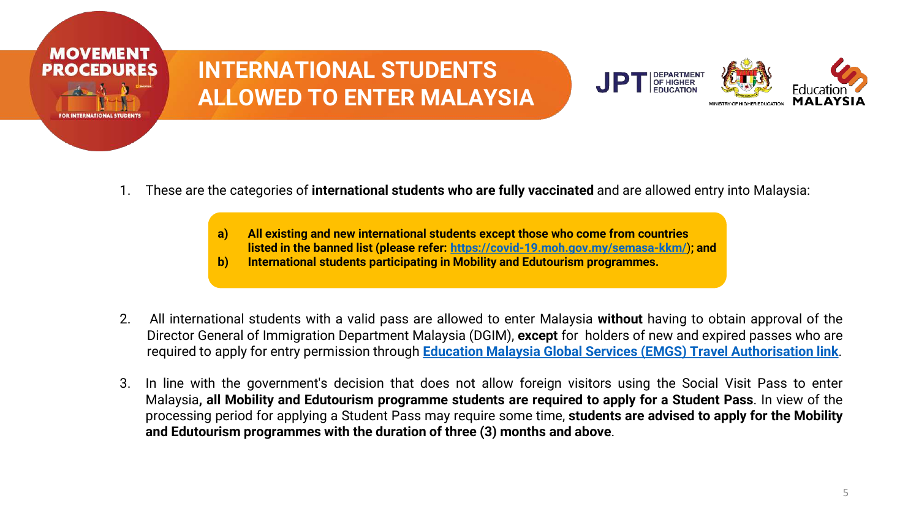

## **INTERNATIONAL STUDENTS ALLOWED TO ENTER MALAYSIA**



- 1. These are the categories of **international students who are fully vaccinated** and are allowed entry into Malaysia:
	- **a) All existing and new international students except those who come from countries listed in the banned list (please refer: <https://covid-19.moh.gov.my/semasa-kkm/>**)**; and**
	- **b) International students participating in Mobility and Edutourism programmes.**
- 2. All international students with a valid pass are allowed to enter Malaysia **without** having to obtain approval of the Director General of Immigration Department Malaysia (DGIM), **except** for holders of new and expired passes who are required to apply for entry permission through **Education Malaysia Global Services (EMGS) Travel [Authorisation](https://visa.educationmalaysia.gov.my/guidelines/travel-authorisation-form-base.html) link**.
- 3. In line with the government's decision that does not allow foreign visitors using the Social Visit Pass to enter Malaysia**, all Mobility and Edutourism programme students are required to apply for a Student Pass**. In view of the processing period for applying a Student Pass may require some time, **students are advised to apply for the Mobility and Edutourism programmes with the duration of three (3) months and above**.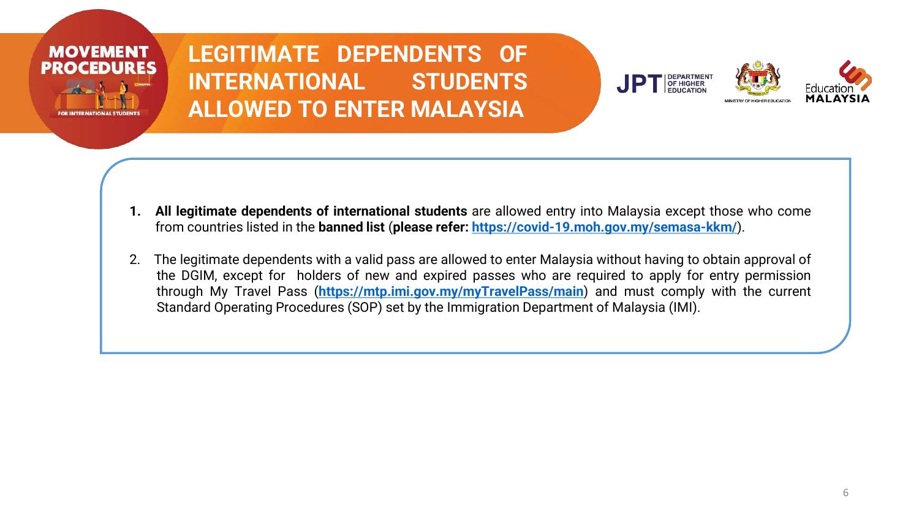

**LEGITIMATE DEPENDENTS OF INTERNATIONAL STUDENTS ALLOWED TO ENTER MALAYSIA**





- **1. All legitimate dependents of international students** are allowed entry into Malaysia except those who come from countries listed in the **banned list** (**please refer: <https://covid-19.moh.gov.my/semasa-kkm/>**).
- 2. The legitimate dependents with a valid pass are allowed to enter Malaysia without having to obtain approval of the DGIM, except for holders of new and expired passes who are required to apply for entry permission through My Travel Pass (**<https://mtp.imi.gov.my/myTravelPass/main>**) and must comply with the current Standard Operating Procedures (SOP) set by the Immigration Department of Malaysia (IMI).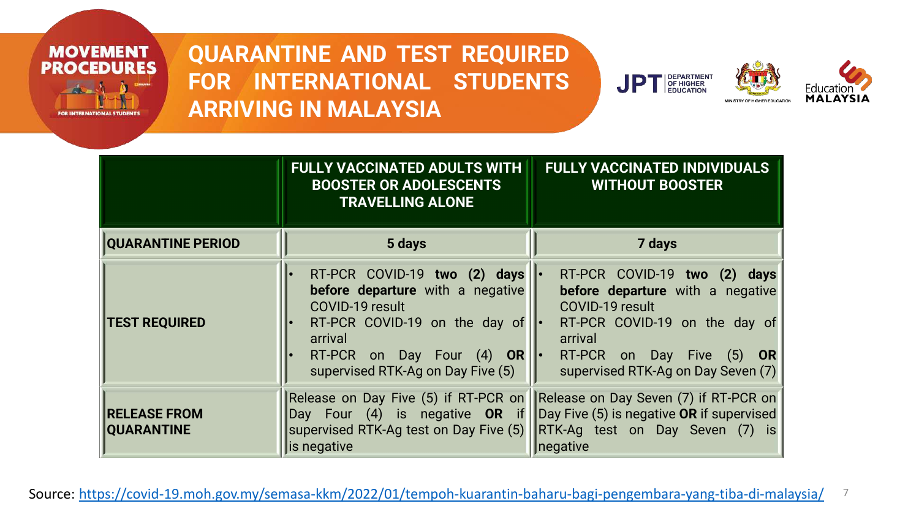

**QUARANTINE AND TEST REQUIRED FOR INTERNATIONAL STUDENTS ARRIVING IN MALAYSIA**





|                                          | <b>FULLY VACCINATED ADULTS WITH</b><br><b>BOOSTER OR ADOLESCENTS</b><br><b>TRAVELLING ALONE</b>                                                                                                     | <b>FULLY VACCINATED INDIVIDUALS</b><br><b>WITHOUT BOOSTER</b>                                                                                                                                        |  |  |
|------------------------------------------|-----------------------------------------------------------------------------------------------------------------------------------------------------------------------------------------------------|------------------------------------------------------------------------------------------------------------------------------------------------------------------------------------------------------|--|--|
| <b>QUARANTINE PERIOD</b>                 | 5 days                                                                                                                                                                                              | 7 days                                                                                                                                                                                               |  |  |
| <b>TEST REQUIRED</b>                     | RT-PCR COVID-19 two (2) days<br>before departure with a negative<br>COVID-19 result<br>RT-PCR COVID-19 on the day of<br>arrival<br>RT-PCR on Day Four $(4)$ OR<br>supervised RTK-Ag on Day Five (5) | RT-PCR COVID-19 two (2) days<br>before departure with a negative<br>COVID-19 result<br>RT-PCR COVID-19 on the day of<br>arrival<br>RT-PCR on Day Five $(5)$ OR<br>supervised RTK-Ag on Day Seven (7) |  |  |
| <b>RELEASE FROM</b><br><b>QUARANTINE</b> | Release on Day Five (5) if RT-PCR on<br>Day Four (4) is negative OR if<br>supervised RTK-Ag test on Day Five (5)<br>is negative                                                                     | Release on Day Seven (7) if RT-PCR on<br>Day Five (5) is negative OR if supervised<br>RTK-Ag test on Day Seven (7) is<br>negative                                                                    |  |  |

7 Source:<https://covid-19.moh.gov.my/semasa-kkm/2022/01/tempoh-kuarantin-baharu-bagi-pengembara-yang-tiba-di-malaysia/>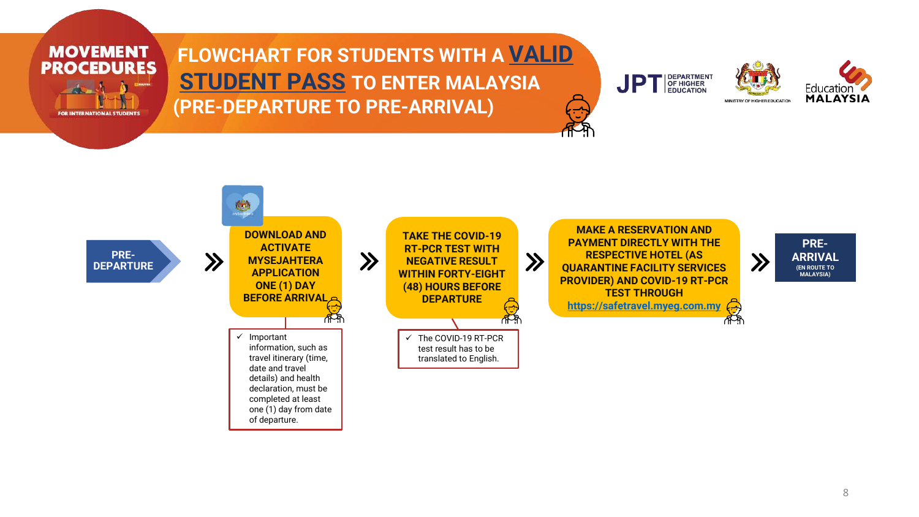

#### **FLOWCHART FOR STUDENTS WITH A VALID STUDENT PASS TO ENTER MALAYSIA (PRE-DEPARTURE TO PRE-ARRIVAL)**







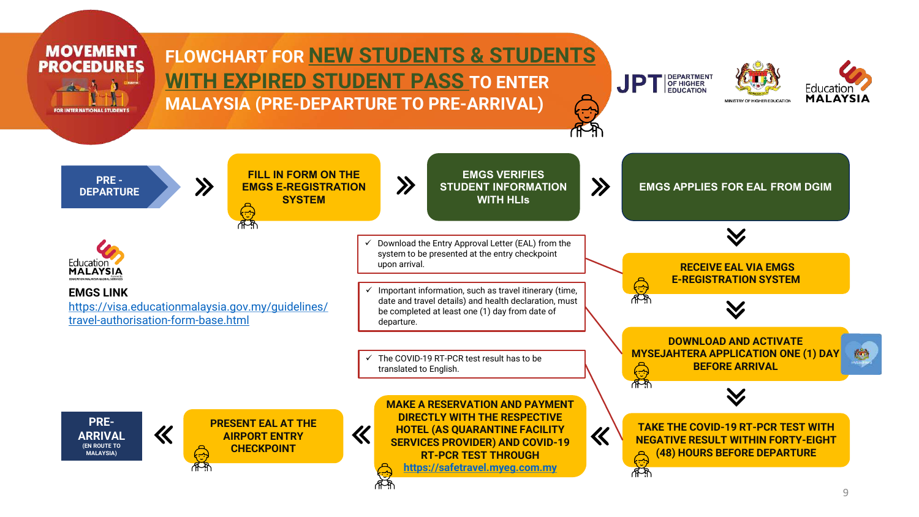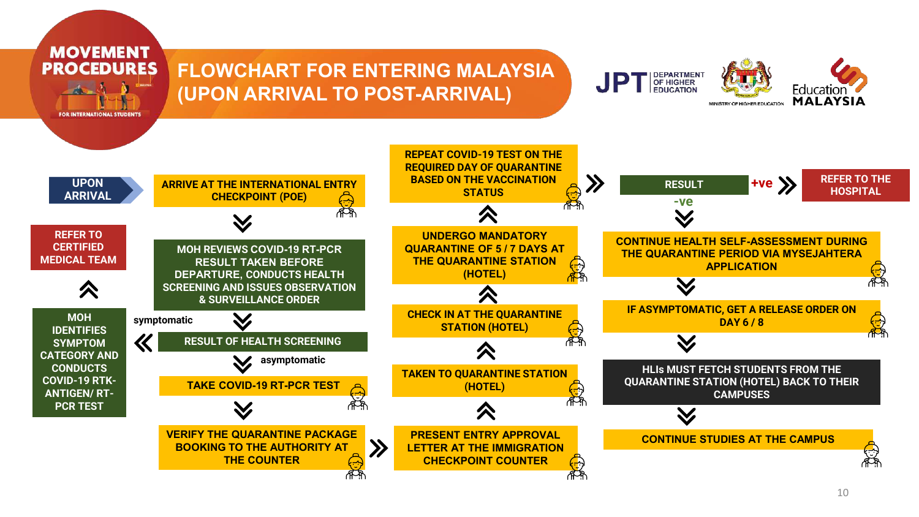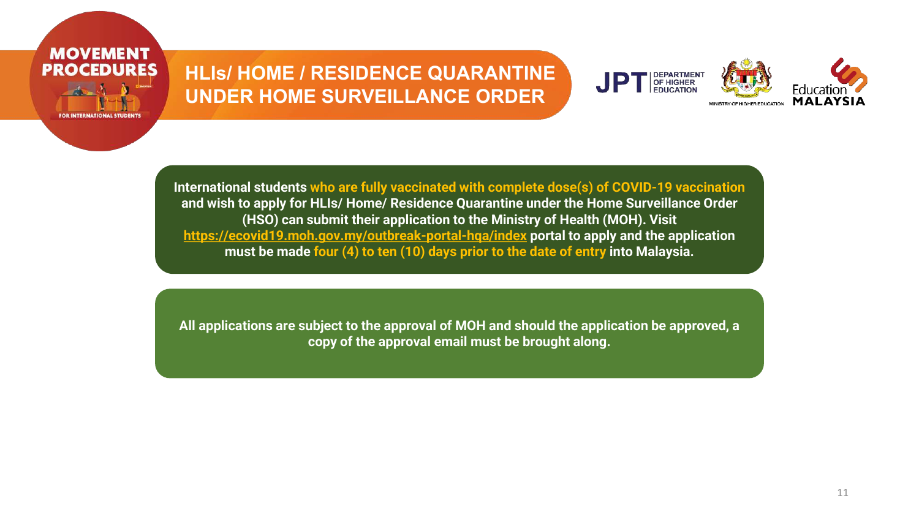#### **HLIs/ HOME / RESIDENCE QUARANTINE UNDER HOME SURVEILLANCE ORDER**

**MOVEMENT PROCEDURES** 



**International students who are fully vaccinated with complete dose(s) of COVID-19 vaccination and wish to apply for HLIs/ Home/ Residence Quarantine under the Home Surveillance Order (HSO) can submit their application to the Ministry of Health (MOH). Visit <https://ecovid19.moh.gov.my/outbreak-portal-hqa/index> portal to apply and the application must be made four (4) to ten (10) days prior to the date of entry into Malaysia.**

**All applications are subject to the approval of MOH and should the application be approved, a copy of the approval email must be brought along.**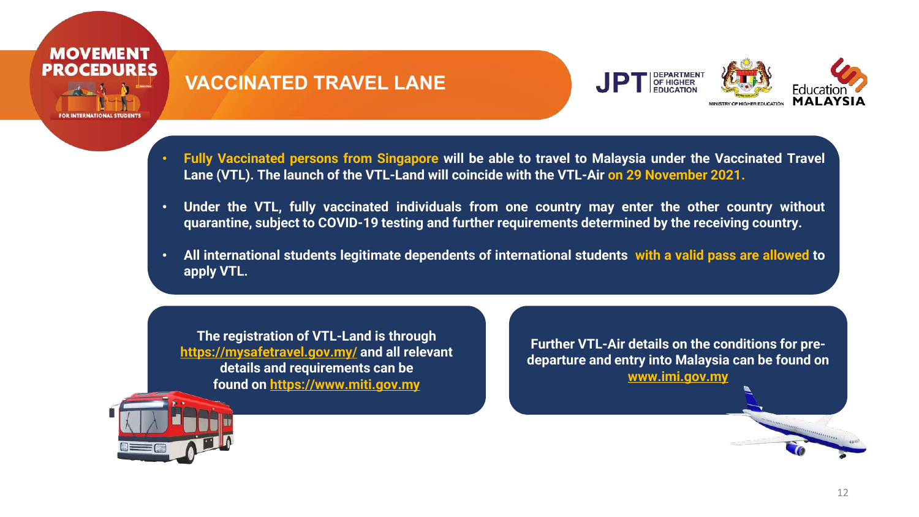

#### **VACCINATED TRAVEL LANE**



- **Fully Vaccinated persons from Singapore will be able to travel to Malaysia under the Vaccinated Travel Lane (VTL). The launch of the VTL-Land will coincide with the VTL-Air on 29 November 2021.**
- **Under the VTL, fully vaccinated individuals from one country may enter the other country without quarantine, subject to COVID-19 testing and further requirements determined by the receiving country.**
- **All international students legitimate dependents of international students with a valid pass are allowed to apply VTL.**

**The registration of VTL-Land is through <https://mysafetravel.gov.my/> and all relevant details and requirements can be found on [https://www.miti.gov.my](https://www.miti.gov.my/)**

**Further VTL-Air details on the conditions for predeparture and entry into Malaysia can be found on [www.imi.gov.my](http://www.imi.gov.my/)**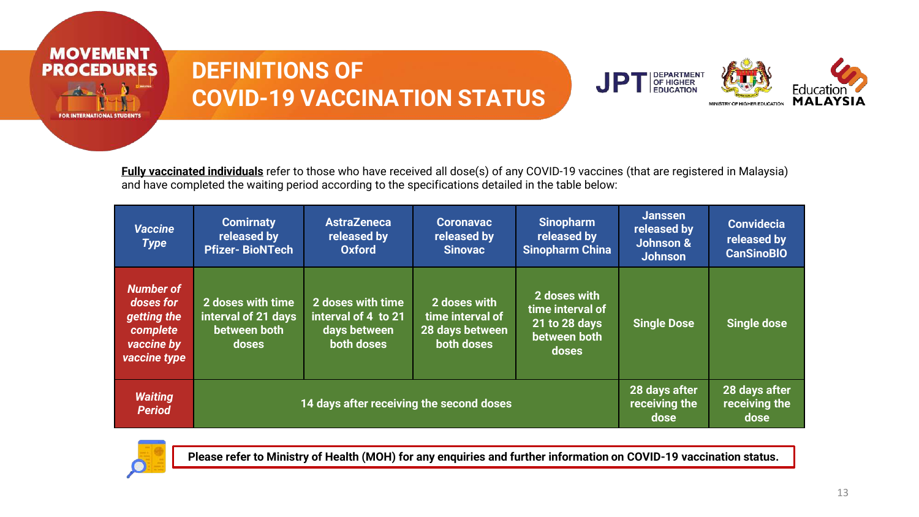

## **DEFINITIONS OF COVID-19 VACCINATION STATUS**



**Fully vaccinated individuals** refer to those who have received all dose(s) of any COVID-19 vaccines (that are registered in Malaysia) and have completed the waiting period according to the specifications detailed in the table below:

| <b>Vaccine</b><br><b>Type</b>                                                          | <b>Comirnaty</b><br>released by<br><b>Pfizer-BioNTech</b>         | <b>AstraZeneca</b><br>released by<br><b>Oxford</b>                     | <b>Coronavac</b><br>released by<br><b>Sinovac</b>                 | <b>Sinopharm</b><br>released by<br><b>Sinopharm China</b>                         | <b>Janssen</b><br>released by<br>Johnson &<br><b>Johnson</b> | <b>Convidecia</b><br>released by<br><b>CanSinoBIO</b> |
|----------------------------------------------------------------------------------------|-------------------------------------------------------------------|------------------------------------------------------------------------|-------------------------------------------------------------------|-----------------------------------------------------------------------------------|--------------------------------------------------------------|-------------------------------------------------------|
| <b>Number of</b><br>doses for<br>getting the<br>complete<br>vaccine by<br>vaccine type | 2 doses with time<br>interval of 21 days<br>between both<br>doses | 2 doses with time<br>interval of 4 to 21<br>days between<br>both doses | 2 doses with<br>time interval of<br>28 days between<br>both doses | 2 doses with<br>time interval of<br>21 to 28 days<br><b>between both</b><br>doses | <b>Single Dose</b>                                           | <b>Single dose</b>                                    |
| <b>Waiting</b><br><b>Period</b>                                                        | 14 days after receiving the second doses                          |                                                                        |                                                                   |                                                                                   | 28 days after<br>receiving the<br>dose                       | 28 days after<br>receiving the<br>dose                |



**Please refer to Ministry of Health (MOH) for any enquiries and further information on COVID-19 vaccination status.**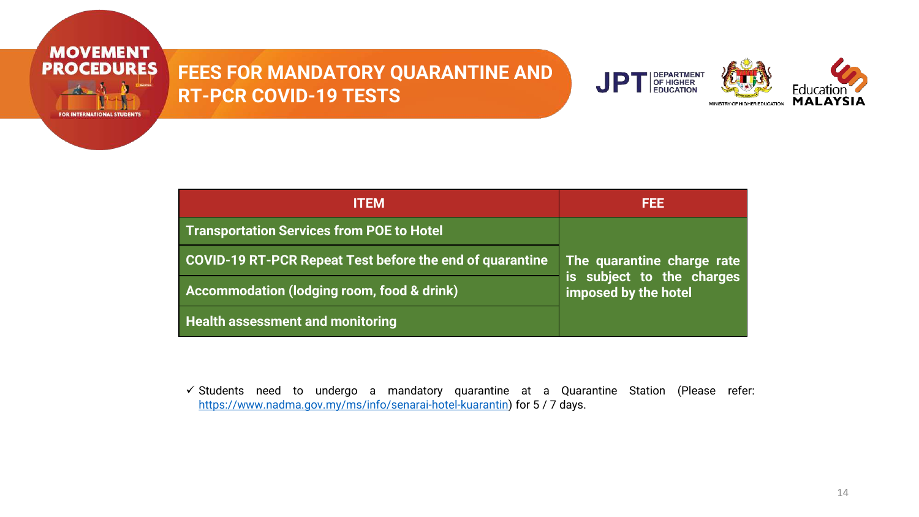

#### **FEES FOR MANDATORY QUARANTINE AND RT-PCR COVID-19 TESTS**



|                                                          | 1333                                              |  |  |
|----------------------------------------------------------|---------------------------------------------------|--|--|
| <b>Transportation Services from POE to Hotel</b>         |                                                   |  |  |
| COVID-19 RT-PCR Repeat Test before the end of quarantine | The quarantine charge rate                        |  |  |
| Accommodation (lodging room, food & drink)               | is subject to the charges<br>imposed by the hotel |  |  |
| <b>Health assessment and monitoring</b>                  |                                                   |  |  |

 $\checkmark$  Students need to undergo a mandatory quarantine at a Quarantine Station (Please refer: <https://www.nadma.gov.my/ms/info/senarai-hotel-kuarantin>) for 5 / 7 days.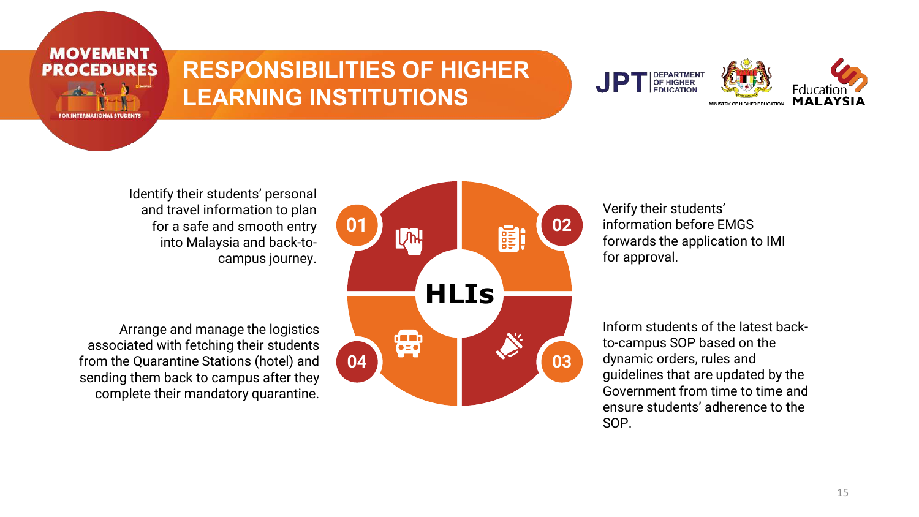

## **RESPONSIBILITIES OF HIGHER LEARNING INSTITUTIONS**



Identify their students' personal and travel information to plan for a safe and smooth entry into Malaysia and back-tocampus journey.

Arrange and manage the logistics associated with fetching their students from the Quarantine Stations (hotel) and sending them back to campus after they complete their mandatory quarantine.



Verify their students' information before EMGS forwards the application to IMI for approval.

Inform students of the latest backto-campus SOP based on the dynamic orders, rules and guidelines that are updated by the Government from time to time and ensure students' adherence to the SOP.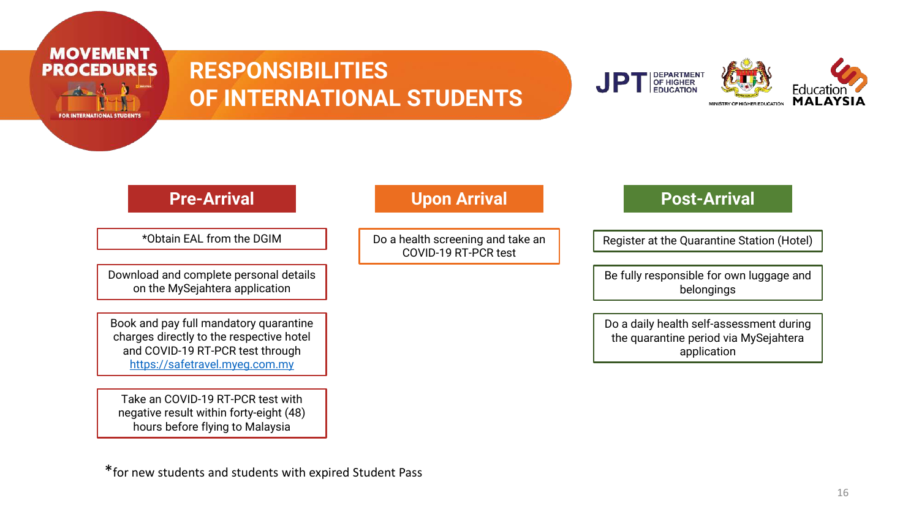



**MOVEMENT PROCEDURES** 

FOR INTERNATIONAL STUDENT:

\*Obtain EAL from the DGIM

Download and complete personal details on the MySejahtera application

Book and pay full mandatory quarantine charges directly to the respective hotel and COVID-19 RT-PCR test through [https://safetravel.myeg.com.my](https://safetravel.myeg.com.my/)

Take an COVID-19 RT-PCR test with negative result within forty-eight (48) hours before flying to Malaysia

Do a health screening and take an COVID-19 RT-PCR test

#### **Pre-Arrival Contract Contract Contract Contract Contract Post-Arrival**

Register at the Quarantine Station (Hotel)

Be fully responsible for own luggage and belongings

Do a daily health self-assessment during the quarantine period via MySejahtera application

\*for new students and students with expired Student Pass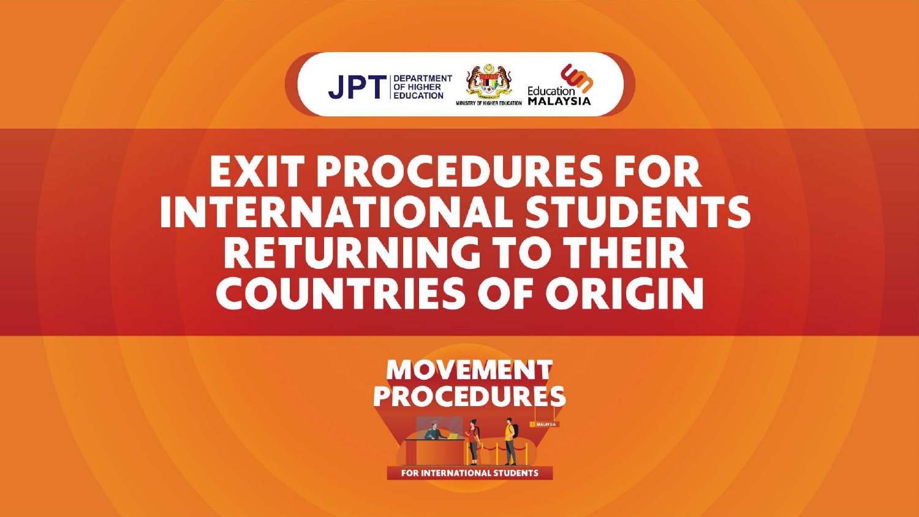

# **EXIT PROCEDURES FOR INTERNATIONAL STUDENTS RETURNING TO THEIR COUNTRIES OF ORIGIN**

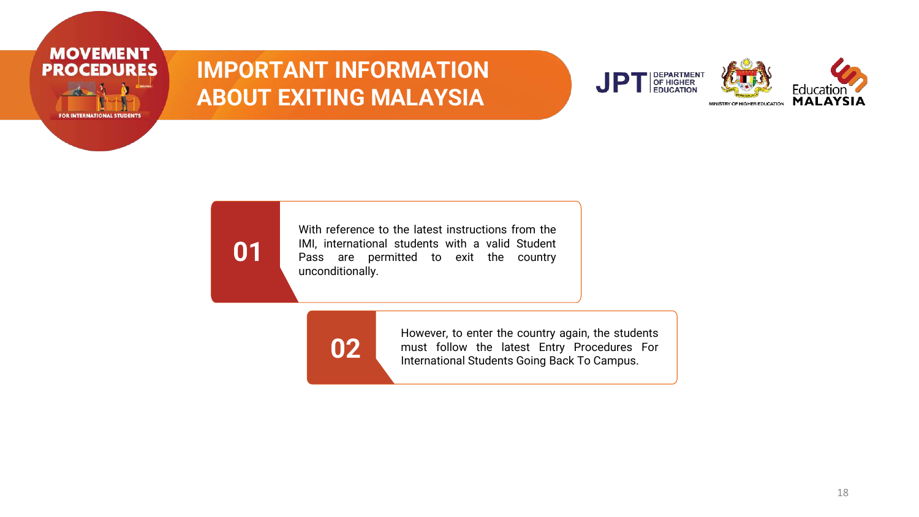

## **IMPORTANT INFORMATION ABOUT EXITING MALAYSIA**



## **01**

With reference to the latest instructions from the IMI, international students with a valid Student Pass are permitted to exit the country unconditionally.

**02**

However, to enter the country again, the students must follow the latest Entry Procedures For International Students Going Back To Campus.